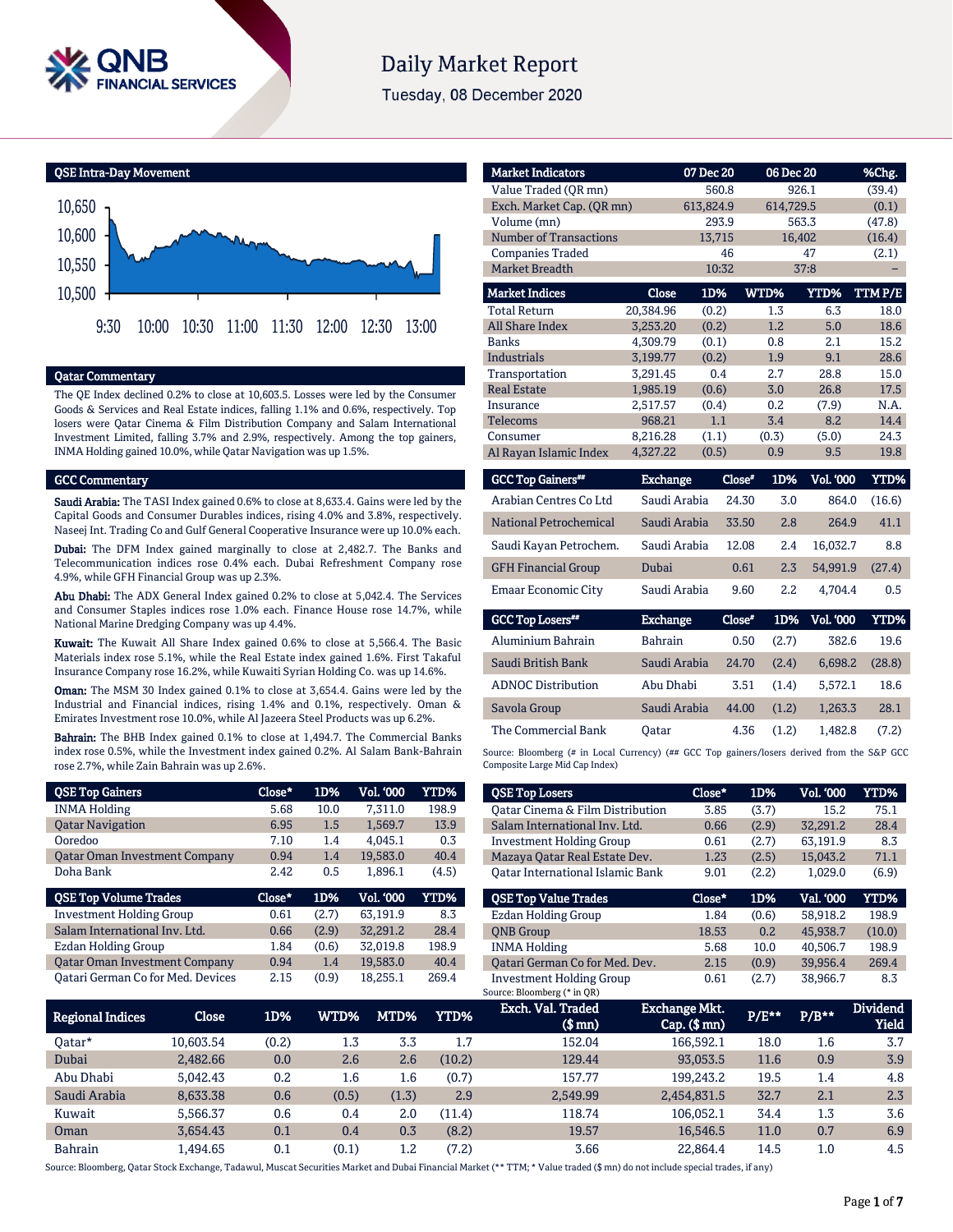

# **Daily Market Report**

Tuesday, 08 December 2020

QSE Intra-Day Movement



#### Qatar Commentary

The QE Index declined 0.2% to close at 10,603.5. Losses were led by the Consumer Goods & Services and Real Estate indices, falling 1.1% and 0.6%, respectively. Top losers were Qatar Cinema & Film Distribution Company and Salam International Investment Limited, falling 3.7% and 2.9%, respectively. Among the top gainers, INMA Holding gained 10.0%, while Qatar Navigation was up 1.5%.

#### GCC Commentary

Saudi Arabia: The TASI Index gained 0.6% to close at 8,633.4. Gains were led by the Capital Goods and Consumer Durables indices, rising 4.0% and 3.8%, respectively. Naseej Int. Trading Co and Gulf General Cooperative Insurance were up 10.0% each.

Dubai: The DFM Index gained marginally to close at 2,482.7. The Banks and Telecommunication indices rose 0.4% each. Dubai Refreshment Company rose 4.9%, while GFH Financial Group was up 2.3%.

Abu Dhabi: The ADX General Index gained 0.2% to close at 5,042.4. The Services and Consumer Staples indices rose 1.0% each. Finance House rose 14.7%, while National Marine Dredging Company was up 4.4%.

Kuwait: The Kuwait All Share Index gained 0.6% to close at 5,566.4. The Basic Materials index rose 5.1%, while the Real Estate index gained 1.6%. First Takaful Insurance Company rose 16.2%, while Kuwaiti Syrian Holding Co. was up 14.6%.

Oman: The MSM 30 Index gained 0.1% to close at 3,654.4. Gains were led by the Industrial and Financial indices, rising 1.4% and 0.1%, respectively. Oman & Emirates Investment rose 10.0%, while Al Jazeera Steel Products was up 6.2%.

Bahrain: The BHB Index gained 0.1% to close at 1,494.7. The Commercial Banks index rose 0.5%, while the Investment index gained 0.2%. Al Salam Bank-Bahrain rose 2.7%, while Zain Bahrain was up 2.6%.

| <b>QSE Top Gainers</b>               | Close* | 1D%   | Vol. '000 | <b>YTD%</b> |
|--------------------------------------|--------|-------|-----------|-------------|
| <b>INMA Holding</b>                  | 5.68   | 10.0  | 7.311.0   | 198.9       |
| <b>Qatar Navigation</b>              | 6.95   | 1.5   | 1,569.7   | 13.9        |
| Ooredoo                              | 7.10   | 1.4   | 4.045.1   | 0.3         |
| <b>Qatar Oman Investment Company</b> | 0.94   | 1.4   | 19,583.0  | 40.4        |
| Doha Bank                            | 2.42   | 0.5   | 1,896.1   | (4.5)       |
|                                      |        |       |           |             |
| <b>QSE Top Volume Trades</b>         | Close* | 1D%   | Vol. '000 | YTD%        |
| <b>Investment Holding Group</b>      | 0.61   | (2.7) | 63.191.9  | 8.3         |
| Salam International Inv. Ltd.        | 0.66   | (2.9) | 32,291.2  | 28.4        |
| Ezdan Holding Group                  | 1.84   | (0.6) | 32,019.8  | 198.9       |
| <b>Qatar Oman Investment Company</b> | 0.94   | 1.4   | 19,583.0  | 40.4        |

| <b>Market Indicators</b>      |           | 07 Dec 20 |       | 06 Dec 20   | %Chg.  |  |
|-------------------------------|-----------|-----------|-------|-------------|--------|--|
| Value Traded (OR mn)          |           | 560.8     |       | 926.1       |        |  |
| Exch. Market Cap. (QR mn)     |           | 613,824.9 |       | 614,729.5   | (0.1)  |  |
| Volume (mn)                   |           | 293.9     |       | 563.3       | (47.8) |  |
| <b>Number of Transactions</b> |           | 13,715    |       | 16,402      | (16.4) |  |
| <b>Companies Traded</b>       |           | 46        |       | 47          | (2.1)  |  |
| <b>Market Breadth</b>         |           | 10:32     |       | 37:8        |        |  |
| <b>Market Indices</b>         | Close     | 1D%       | WTD%  | <b>YTD%</b> | TTMP/E |  |
| <b>Total Return</b>           | 20,384.96 | (0.2)     | 1.3   | 6.3         | 18.0   |  |
| <b>All Share Index</b>        | 3,253.20  | (0.2)     | 1.2   | 5.0         | 18.6   |  |
| <b>Banks</b>                  | 4,309.79  | (0.1)     | 0.8   | 2.1         | 15.2   |  |
| <b>Industrials</b>            | 3,199.77  | (0.2)     | 1.9   | 9.1         | 28.6   |  |
| Transportation                | 3,291.45  | 0.4       | 2.7   | 28.8        | 15.0   |  |
| <b>Real Estate</b>            | 1.985.19  | (0.6)     | 3.0   | 26.8        | 17.5   |  |
| Insurance                     | 2,517.57  | (0.4)     | 0.2   | (7.9)       | N.A.   |  |
| <b>Telecoms</b>               | 968.21    | 1.1       | 3.4   | 8.2         | 14.4   |  |
| Consumer                      | 8,216.28  | (1.1)     | (0.3) | (5.0)       | 24.3   |  |
| Al Rayan Islamic Index        | 4,327.22  | (0.5)     | 0.9   | 9.5         | 19.8   |  |

| <b>GCC Top Gainers**</b>   | <b>Exchange</b> | Close* | 1D% | <b>Vol. '000</b> | YTD%   |
|----------------------------|-----------------|--------|-----|------------------|--------|
| Arabian Centres Co Ltd     | Saudi Arabia    | 24.30  | 3.0 | 864.0            | (16.6) |
| National Petrochemical     | Saudi Arabia    | 33.50  | 2.8 | 264.9            | 41.1   |
| Saudi Kayan Petrochem.     | Saudi Arabia    | 12.08  | 2.4 | 16.032.7         | 8.8    |
| <b>GFH Financial Group</b> | Dubai           | 0.61   | 2.3 | 54.991.9         | (27.4) |
| Emaar Economic City        | Saudi Arabia    | 9.60   | 2.2 | 4.704.4          | 0.5    |
|                            |                 |        |     |                  |        |

| <b>GCC Top Losers**</b>   | <b>Exchange</b> | Close* | 1D%   | <b>Vol. '000</b> | YTD%   |
|---------------------------|-----------------|--------|-------|------------------|--------|
| Aluminium Bahrain         | <b>Bahrain</b>  | 0.50   | (2.7) | 382.6            | 19.6   |
| Saudi British Bank        | Saudi Arabia    | 24.70  | (2.4) | 6.698.2          | (28.8) |
| <b>ADNOC Distribution</b> | Abu Dhabi       | 3.51   | (1.4) | 5.572.1          | 18.6   |
| Savola Group              | Saudi Arabia    | 44.00  | (1.2) | 1.263.3          | 28.1   |
| The Commercial Bank       | Oatar           | 4.36   | (1.2) | 1.482.8          | (7.2)  |

Source: Bloomberg (# in Local Currency) (## GCC Top gainers/losers derived from the S&P GCC Composite Large Mid Cap Index)

| <b>QSE Top Losers</b>                   | Close* | 1D%   | <b>Vol. '000</b> | YTD%   |
|-----------------------------------------|--------|-------|------------------|--------|
| Oatar Cinema & Film Distribution        | 3.85   | (3.7) | 15.2             | 75.1   |
| Salam International Inv. Ltd.           | 0.66   | (2.9) | 32.291.2         | 28.4   |
| Investment Holding Group                | 0.61   | (2.7) | 63,191.9         | 8.3    |
| Mazaya Qatar Real Estate Dev.           | 1.23   | (2.5) | 15.043.2         | 71.1   |
| <b>Oatar International Islamic Bank</b> | 9.01   | (2.2) | 1.029.0          | (6.9)  |
|                                         |        |       |                  |        |
|                                         |        |       |                  |        |
| <b>OSE Top Value Trades</b>             | Close* | 1D%   | Val. '000        | YTD%   |
| <b>Ezdan Holding Group</b>              | 1.84   | (0.6) | 58.918.2         | 198.9  |
| <b>ONB</b> Group                        | 18.53  | 0.2   | 45.938.7         | (10.0) |
| <b>INMA Holding</b>                     | 5.68   | 10.0  | 40.506.7         | 198.9  |
| Oatari German Co for Med. Dev.          | 2.15   | (0.9) | 39,956.4         | 269.4  |

| Regional Indices | Close     | 1D%       | WTD%  | MTD%  | YTD%   | Exch. Val. Traded<br>$$$ mn $)$ | Exchange Mkt.<br>$Cap.$ (\$ mn) | $P/E***$ | $P/B***$ | <b>Dividend</b><br><b>Yield</b> |
|------------------|-----------|-----------|-------|-------|--------|---------------------------------|---------------------------------|----------|----------|---------------------------------|
| Oatar*           | 10.603.54 | (0.2)     | 1.3   | 3.3   | 1.7    | 152.04                          | 166.592.1                       | 18.0     | 1.6      | 3.7                             |
| Dubai            | 2.482.66  | 0.0       | 2.6   | 2.6   | (10.2) | 129.44                          | 93,053.5                        | 11.6     | 0.9      | 3.9                             |
| Abu Dhabi        | 5.042.43  | 0.2       | 1.6   | 1.6   | (0.7)  | 157.77                          | 199.243.2                       | 19.5     | 1.4      | 4.8                             |
| Saudi Arabia     | 8,633.38  | 0.6       | (0.5) | (1.3) | 2.9    | 2.549.99                        | 2,454,831.5                     | 32.7     | 2.1      | 2.3                             |
| Kuwait           | 5.566.37  | 0.6       | 0.4   | 2.0   | (11.4) | 118.74                          | 106.052.1                       | 34.4     | 1.3      | 3.6                             |
| Oman             | 3.654.43  | 0.1       | 0.4   | 0.3   | (8.2)  | 19.57                           | 16.546.5                        | 11.0     | 0.7      | 6.9                             |
| <b>Bahrain</b>   | .494.65   | $\rm 0.1$ | (0.1) | 1.2   | (7.2)  | 3.66                            | 22.864.4                        | 14.5     | 1.0      | 4.5                             |

Source: Bloomberg, Qatar Stock Exchange, Tadawul, Muscat Securities Market and Dubai Financial Market (\*\* TTM; \* Value traded (\$ mn) do not include special trades, if any)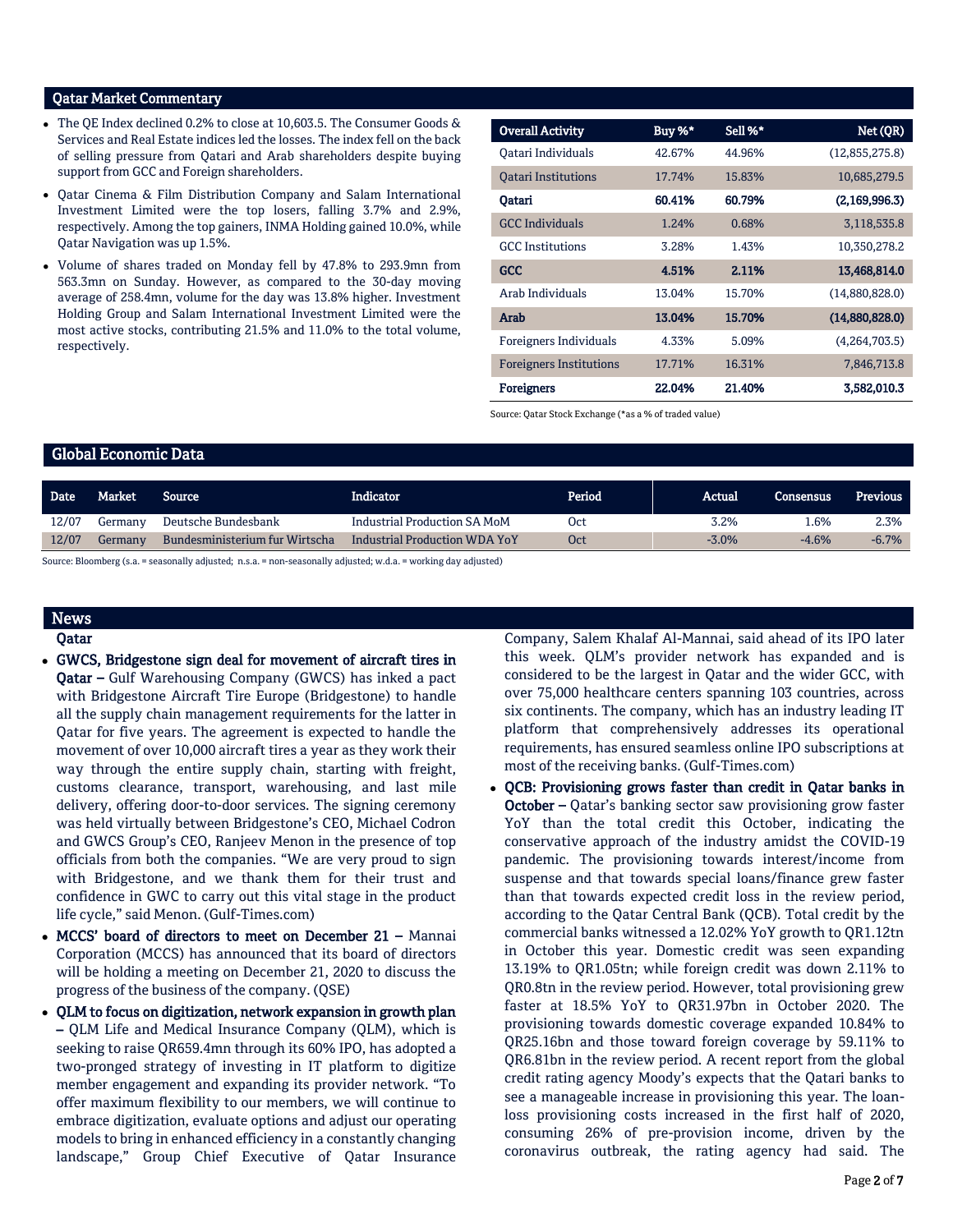#### Qatar Market Commentary

- The QE Index declined 0.2% to close at 10,603.5. The Consumer Goods & Services and Real Estate indices led the losses. The index fell on the back of selling pressure from Qatari and Arab shareholders despite buying support from GCC and Foreign shareholders.
- Qatar Cinema & Film Distribution Company and Salam International Investment Limited were the top losers, falling 3.7% and 2.9%, respectively. Among the top gainers, INMA Holding gained 10.0%, while Qatar Navigation was up 1.5%.
- Volume of shares traded on Monday fell by 47.8% to 293.9mn from 563.3mn on Sunday. However, as compared to the 30-day moving average of 258.4mn, volume for the day was 13.8% higher. Investment Holding Group and Salam International Investment Limited were the most active stocks, contributing 21.5% and 11.0% to the total volume, respectively.

| <b>Overall Activity</b>        | Buy %* | Sell %* | Net (QR)       |
|--------------------------------|--------|---------|----------------|
| Oatari Individuals             | 42.67% | 44.96%  | (12,855,275.8) |
| <b>Oatari Institutions</b>     | 17.74% | 15.83%  | 10,685,279.5   |
| Oatari                         | 60.41% | 60.79%  | (2,169,996.3)  |
| <b>GCC</b> Individuals         | 1.24%  | 0.68%   | 3,118,535.8    |
| <b>GCC</b> Institutions        | 3.28%  | 1.43%   | 10,350,278.2   |
| GCC                            | 4.51%  | 2.11%   | 13,468,814.0   |
| Arab Individuals               | 13.04% | 15.70%  | (14,880,828.0) |
| Arab                           | 13.04% | 15.70%  | (14,880,828.0) |
| Foreigners Individuals         | 4.33%  | 5.09%   | (4,264,703.5)  |
| <b>Foreigners Institutions</b> | 17.71% | 16.31%  | 7,846,713.8    |
| <b>Foreigners</b>              | 22.04% | 21.40%  | 3,582,010.3    |

Source: Qatar Stock Exchange (\*as a % of traded value)

#### Global Economic Data

| <b>Date</b> | Market  | <b>Source</b>                  | Indicator                           | Period | Actual  | <b>Consensus</b> | <b>Previous</b> |
|-------------|---------|--------------------------------|-------------------------------------|--------|---------|------------------|-----------------|
| 12/07       | Germany | Deutsche Bundesbank            | <b>Industrial Production SA MoM</b> | Oct    | 3.2%    | .6%              | 2.3%            |
| 12/07       | Germany | Bundesministerium fur Wirtscha | Industrial Production WDA YoY       | Oct    | $-3.0%$ | $-4.6%$          | $-6.7\%$        |

Source: Bloomberg (s.a. = seasonally adjusted; n.s.a. = non-seasonally adjusted; w.d.a. = working day adjusted)

## **News**

Qatar

- GWCS, Bridgestone sign deal for movement of aircraft tires in Qatar – Gulf Warehousing Company (GWCS) has inked a pact with Bridgestone Aircraft Tire Europe (Bridgestone) to handle all the supply chain management requirements for the latter in Qatar for five years. The agreement is expected to handle the movement of over 10,000 aircraft tires a year as they work their way through the entire supply chain, starting with freight, customs clearance, transport, warehousing, and last mile delivery, offering door-to-door services. The signing ceremony was held virtually between Bridgestone's CEO, Michael Codron and GWCS Group's CEO, Ranjeev Menon in the presence of top officials from both the companies. "We are very proud to sign with Bridgestone, and we thank them for their trust and confidence in GWC to carry out this vital stage in the product life cycle," said Menon. (Gulf-Times.com)
- MCCS' board of directors to meet on December 21 Mannai Corporation (MCCS) has announced that its board of directors will be holding a meeting on December 21, 2020 to discuss the progress of the business of the company. (QSE)
- QLM to focus on digitization, network expansion in growth plan – QLM Life and Medical Insurance Company (QLM), which is seeking to raise QR659.4mn through its 60% IPO, has adopted a two-pronged strategy of investing in IT platform to digitize member engagement and expanding its provider network. "To offer maximum flexibility to our members, we will continue to embrace digitization, evaluate options and adjust our operating models to bring in enhanced efficiency in a constantly changing landscape," Group Chief Executive of Qatar Insurance

Company, Salem Khalaf Al-Mannai, said ahead of its IPO later this week. QLM's provider network has expanded and is considered to be the largest in Qatar and the wider GCC, with over 75,000 healthcare centers spanning 103 countries, across six continents. The company, which has an industry leading IT platform that comprehensively addresses its operational requirements, has ensured seamless online IPO subscriptions at most of the receiving banks. (Gulf-Times.com)

 QCB: Provisioning grows faster than credit in Qatar banks in October – Qatar's banking sector saw provisioning grow faster YoY than the total credit this October, indicating the conservative approach of the industry amidst the COVID-19 pandemic. The provisioning towards interest/income from suspense and that towards special loans/finance grew faster than that towards expected credit loss in the review period, according to the Qatar Central Bank (QCB). Total credit by the commercial banks witnessed a 12.02% YoY growth to QR1.12tn in October this year. Domestic credit was seen expanding 13.19% to QR1.05tn; while foreign credit was down 2.11% to QR0.8tn in the review period. However, total provisioning grew faster at 18.5% YoY to QR31.97bn in October 2020. The provisioning towards domestic coverage expanded 10.84% to QR25.16bn and those toward foreign coverage by 59.11% to QR6.81bn in the review period. A recent report from the global credit rating agency Moody's expects that the Qatari banks to see a manageable increase in provisioning this year. The loanloss provisioning costs increased in the first half of 2020, consuming 26% of pre-provision income, driven by the coronavirus outbreak, the rating agency had said. The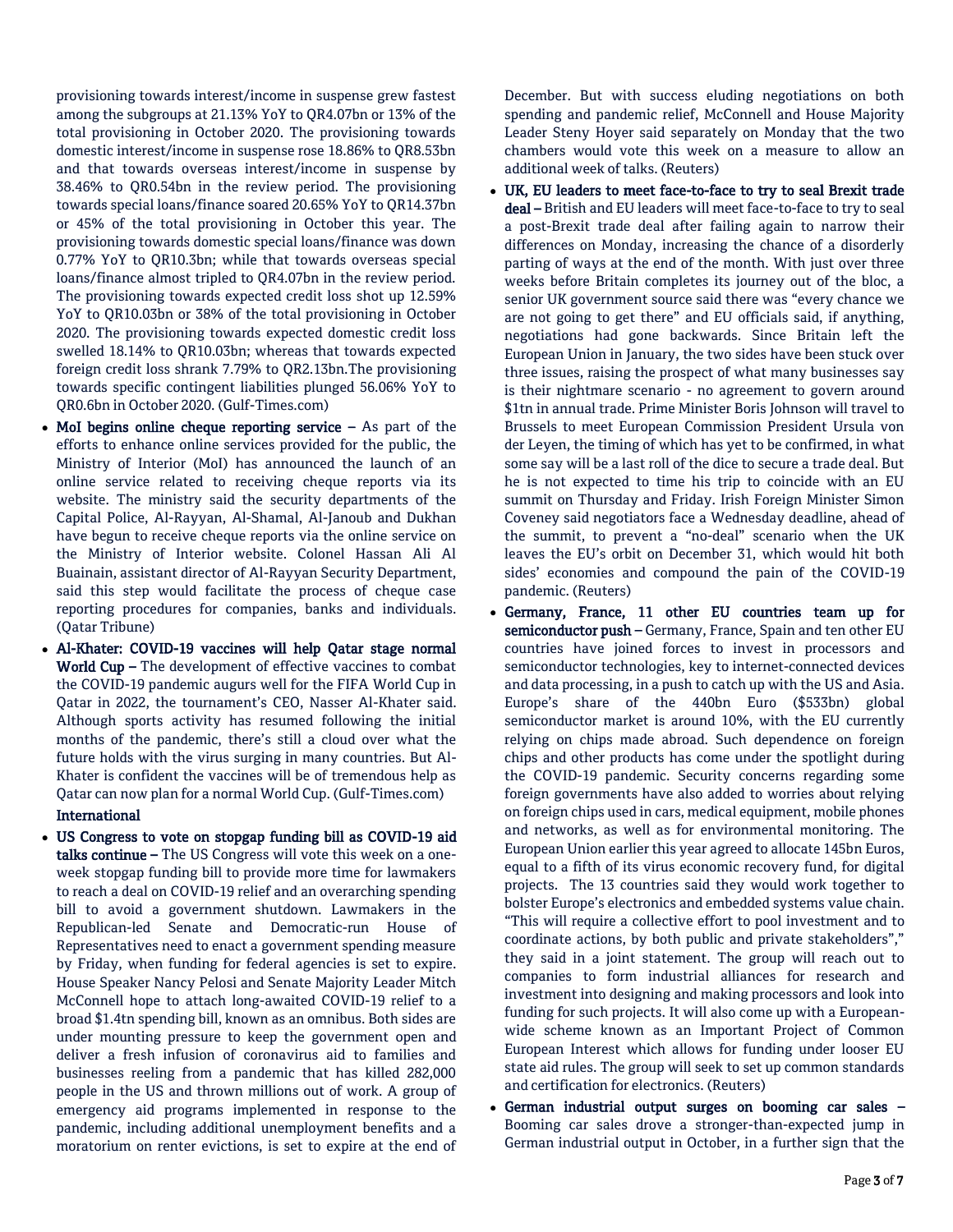provisioning towards interest/income in suspense grew fastest among the subgroups at 21.13% YoY to QR4.07bn or 13% of the total provisioning in October 2020. The provisioning towards domestic interest/income in suspense rose 18.86% to QR8.53bn and that towards overseas interest/income in suspense by 38.46% to QR0.54bn in the review period. The provisioning towards special loans/finance soared 20.65% YoY to QR14.37bn or 45% of the total provisioning in October this year. The provisioning towards domestic special loans/finance was down 0.77% YoY to QR10.3bn; while that towards overseas special loans/finance almost tripled to QR4.07bn in the review period. The provisioning towards expected credit loss shot up 12.59% YoY to QR10.03bn or 38% of the total provisioning in October 2020. The provisioning towards expected domestic credit loss swelled 18.14% to QR10.03bn; whereas that towards expected foreign credit loss shrank 7.79% to QR2.13bn.The provisioning towards specific contingent liabilities plunged 56.06% YoY to QR0.6bn in October 2020. (Gulf-Times.com)

- $\bullet$  MoI begins online cheque reporting service  $-$  As part of the efforts to enhance online services provided for the public, the Ministry of Interior (MoI) has announced the launch of an online service related to receiving cheque reports via its website. The ministry said the security departments of the Capital Police, Al-Rayyan, Al-Shamal, Al-Janoub and Dukhan have begun to receive cheque reports via the online service on the Ministry of Interior website. Colonel Hassan Ali Al Buainain, assistant director of Al-Rayyan Security Department, said this step would facilitate the process of cheque case reporting procedures for companies, banks and individuals. (Qatar Tribune)
- Al-Khater: COVID-19 vaccines will help Qatar stage normal World Cup – The development of effective vaccines to combat the COVID-19 pandemic augurs well for the FIFA World Cup in Qatar in 2022, the tournament's CEO, Nasser Al-Khater said. Although sports activity has resumed following the initial months of the pandemic, there's still a cloud over what the future holds with the virus surging in many countries. But Al-Khater is confident the vaccines will be of tremendous help as Qatar can now plan for a normal World Cup. (Gulf-Times.com)

#### International

 US Congress to vote on stopgap funding bill as COVID-19 aid talks continue – The US Congress will vote this week on a oneweek stopgap funding bill to provide more time for lawmakers to reach a deal on COVID-19 relief and an overarching spending bill to avoid a government shutdown. Lawmakers in the Republican-led Senate and Democratic-run House of Representatives need to enact a government spending measure by Friday, when funding for federal agencies is set to expire. House Speaker Nancy Pelosi and Senate Majority Leader Mitch McConnell hope to attach long-awaited COVID-19 relief to a broad \$1.4tn spending bill, known as an omnibus. Both sides are under mounting pressure to keep the government open and deliver a fresh infusion of coronavirus aid to families and businesses reeling from a pandemic that has killed 282,000 people in the US and thrown millions out of work. A group of emergency aid programs implemented in response to the pandemic, including additional unemployment benefits and a moratorium on renter evictions, is set to expire at the end of

December. But with success eluding negotiations on both spending and pandemic relief, McConnell and House Majority Leader Steny Hoyer said separately on Monday that the two chambers would vote this week on a measure to allow an additional week of talks. (Reuters)

- UK, EU leaders to meet face-to-face to try to seal Brexit trade deal – British and EU leaders will meet face-to-face to try to seal a post-Brexit trade deal after failing again to narrow their differences on Monday, increasing the chance of a disorderly parting of ways at the end of the month. With just over three weeks before Britain completes its journey out of the bloc, a senior UK government source said there was "every chance we are not going to get there" and EU officials said, if anything, negotiations had gone backwards. Since Britain left the European Union in January, the two sides have been stuck over three issues, raising the prospect of what many businesses say is their nightmare scenario - no agreement to govern around \$1tn in annual trade. Prime Minister Boris Johnson will travel to Brussels to meet European Commission President Ursula von der Leyen, the timing of which has yet to be confirmed, in what some say will be a last roll of the dice to secure a trade deal. But he is not expected to time his trip to coincide with an EU summit on Thursday and Friday. Irish Foreign Minister Simon Coveney said negotiators face a Wednesday deadline, ahead of the summit, to prevent a "no-deal" scenario when the UK leaves the EU's orbit on December 31, which would hit both sides' economies and compound the pain of the COVID-19 pandemic. (Reuters)
- Germany, France, 11 other EU countries team up for semiconductor push - Germany, France, Spain and ten other EU countries have joined forces to invest in processors and semiconductor technologies, key to internet-connected devices and data processing, in a push to catch up with the US and Asia. Europe's share of the 440bn Euro (\$533bn) global semiconductor market is around 10%, with the EU currently relying on chips made abroad. Such dependence on foreign chips and other products has come under the spotlight during the COVID-19 pandemic. Security concerns regarding some foreign governments have also added to worries about relying on foreign chips used in cars, medical equipment, mobile phones and networks, as well as for environmental monitoring. The European Union earlier this year agreed to allocate 145bn Euros, equal to a fifth of its virus economic recovery fund, for digital projects. The 13 countries said they would work together to bolster Europe's electronics and embedded systems value chain. "This will require a collective effort to pool investment and to coordinate actions, by both public and private stakeholders"," they said in a joint statement. The group will reach out to companies to form industrial alliances for research and investment into designing and making processors and look into funding for such projects. It will also come up with a Europeanwide scheme known as an Important Project of Common European Interest which allows for funding under looser EU state aid rules. The group will seek to set up common standards and certification for electronics. (Reuters)
- German industrial output surges on booming car sales Booming car sales drove a stronger-than-expected jump in German industrial output in October, in a further sign that the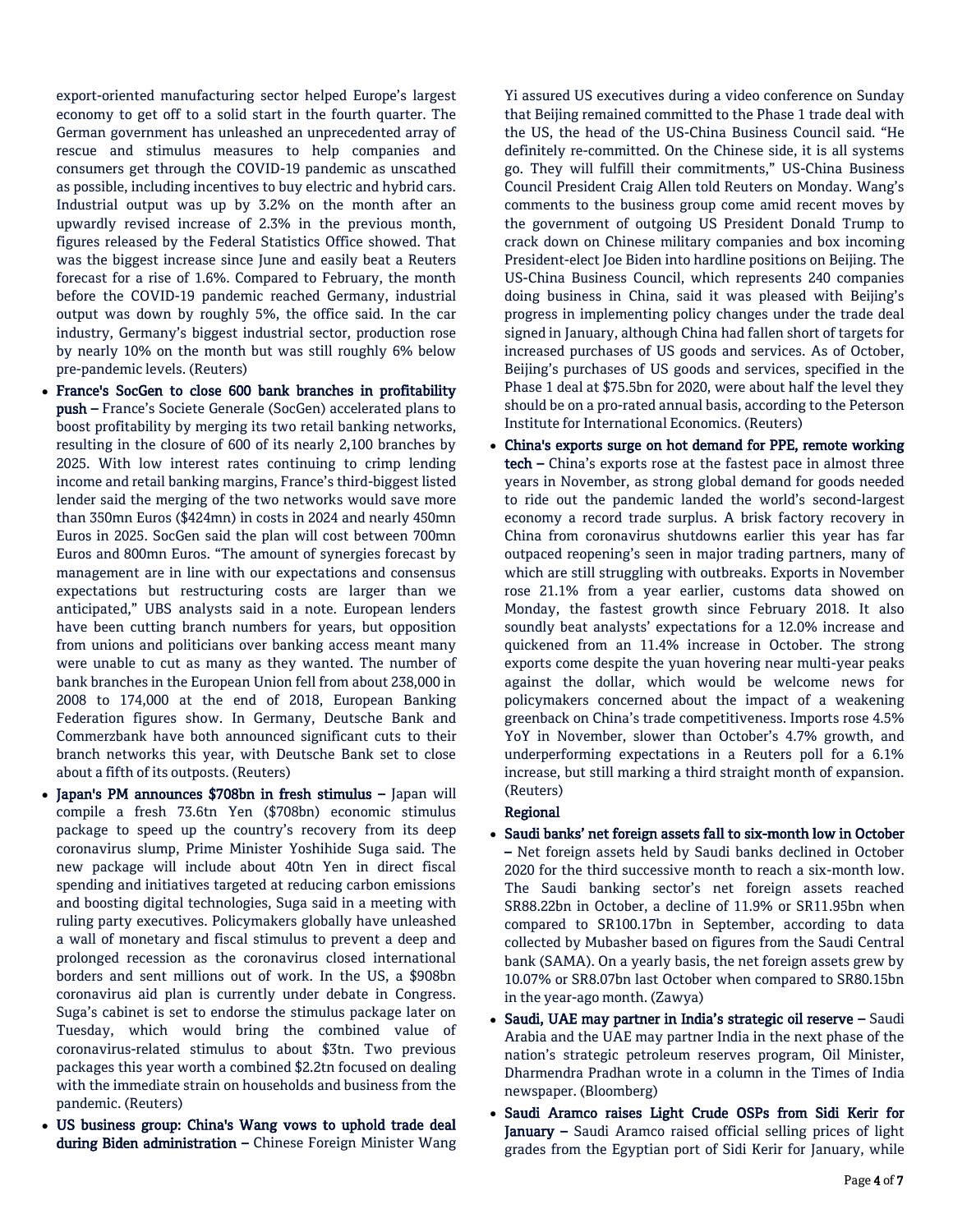export-oriented manufacturing sector helped Europe's largest economy to get off to a solid start in the fourth quarter. The German government has unleashed an unprecedented array of rescue and stimulus measures to help companies and consumers get through the COVID-19 pandemic as unscathed as possible, including incentives to buy electric and hybrid cars. Industrial output was up by 3.2% on the month after an upwardly revised increase of 2.3% in the previous month, figures released by the Federal Statistics Office showed. That was the biggest increase since June and easily beat a Reuters forecast for a rise of 1.6%. Compared to February, the month before the COVID-19 pandemic reached Germany, industrial output was down by roughly 5%, the office said. In the car industry, Germany's biggest industrial sector, production rose by nearly 10% on the month but was still roughly 6% below pre-pandemic levels. (Reuters)

- France's SocGen to close 600 bank branches in profitability push – France's Societe Generale (SocGen) accelerated plans to boost profitability by merging its two retail banking networks, resulting in the closure of 600 of its nearly 2,100 branches by 2025. With low interest rates continuing to crimp lending income and retail banking margins, France's third-biggest listed lender said the merging of the two networks would save more than 350mn Euros (\$424mn) in costs in 2024 and nearly 450mn Euros in 2025. SocGen said the plan will cost between 700mn Euros and 800mn Euros. "The amount of synergies forecast by management are in line with our expectations and consensus expectations but restructuring costs are larger than we anticipated," UBS analysts said in a note. European lenders have been cutting branch numbers for years, but opposition from unions and politicians over banking access meant many were unable to cut as many as they wanted. The number of bank branches in the European Union fell from about 238,000 in 2008 to 174,000 at the end of 2018, European Banking Federation figures show. In Germany, Deutsche Bank and Commerzbank have both announced significant cuts to their branch networks this year, with Deutsche Bank set to close about a fifth of its outposts. (Reuters)
- Japan's PM announces \$708bn in fresh stimulus Japan will compile a fresh 73.6tn Yen (\$708bn) economic stimulus package to speed up the country's recovery from its deep coronavirus slump, Prime Minister Yoshihide Suga said. The new package will include about 40tn Yen in direct fiscal spending and initiatives targeted at reducing carbon emissions and boosting digital technologies, Suga said in a meeting with ruling party executives. Policymakers globally have unleashed a wall of monetary and fiscal stimulus to prevent a deep and prolonged recession as the coronavirus closed international borders and sent millions out of work. In the US, a \$908bn coronavirus aid plan is currently under debate in Congress. Suga's cabinet is set to endorse the stimulus package later on Tuesday, which would bring the combined value of coronavirus-related stimulus to about \$3tn. Two previous packages this year worth a combined \$2.2tn focused on dealing with the immediate strain on households and business from the pandemic. (Reuters)
- US business group: China's Wang vows to uphold trade deal during Biden administration - Chinese Foreign Minister Wang

Yi assured US executives during a video conference on Sunday that Beijing remained committed to the Phase 1 trade deal with the US, the head of the US-China Business Council said. "He definitely re-committed. On the Chinese side, it is all systems go. They will fulfill their commitments," US-China Business Council President Craig Allen told Reuters on Monday. Wang's comments to the business group come amid recent moves by the government of outgoing US President Donald Trump to crack down on Chinese military companies and box incoming President-elect Joe Biden into hardline positions on Beijing. The US-China Business Council, which represents 240 companies doing business in China, said it was pleased with Beijing's progress in implementing policy changes under the trade deal signed in January, although China had fallen short of targets for increased purchases of US goods and services. As of October, Beijing's purchases of US goods and services, specified in the Phase 1 deal at \$75.5bn for 2020, were about half the level they should be on a pro-rated annual basis, according to the Peterson Institute for International Economics. (Reuters)

 China's exports surge on hot demand for PPE, remote working tech – China's exports rose at the fastest pace in almost three years in November, as strong global demand for goods needed to ride out the pandemic landed the world's second-largest economy a record trade surplus. A brisk factory recovery in China from coronavirus shutdowns earlier this year has far outpaced reopening's seen in major trading partners, many of which are still struggling with outbreaks. Exports in November rose 21.1% from a year earlier, customs data showed on Monday, the fastest growth since February 2018. It also soundly beat analysts' expectations for a 12.0% increase and quickened from an 11.4% increase in October. The strong exports come despite the yuan hovering near multi-year peaks against the dollar, which would be welcome news for policymakers concerned about the impact of a weakening greenback on China's trade competitiveness. Imports rose 4.5% YoY in November, slower than October's 4.7% growth, and underperforming expectations in a Reuters poll for a 6.1% increase, but still marking a third straight month of expansion. (Reuters)

### Regional

- Saudi banks' net foreign assets fall to six-month low in October – Net foreign assets held by Saudi banks declined in October 2020 for the third successive month to reach a six-month low. The Saudi banking sector's net foreign assets reached SR88.22bn in October, a decline of 11.9% or SR11.95bn when compared to SR100.17bn in September, according to data collected by Mubasher based on figures from the Saudi Central bank (SAMA). On a yearly basis, the net foreign assets grew by 10.07% or SR8.07bn last October when compared to SR80.15bn in the year-ago month. (Zawya)
- Saudi, UAE may partner in India's strategic oil reserve Saudi Arabia and the UAE may partner India in the next phase of the nation's strategic petroleum reserves program, Oil Minister, Dharmendra Pradhan wrote in a column in the Times of India newspaper. (Bloomberg)
- Saudi Aramco raises Light Crude OSPs from Sidi Kerir for January – Saudi Aramco raised official selling prices of light grades from the Egyptian port of Sidi Kerir for January, while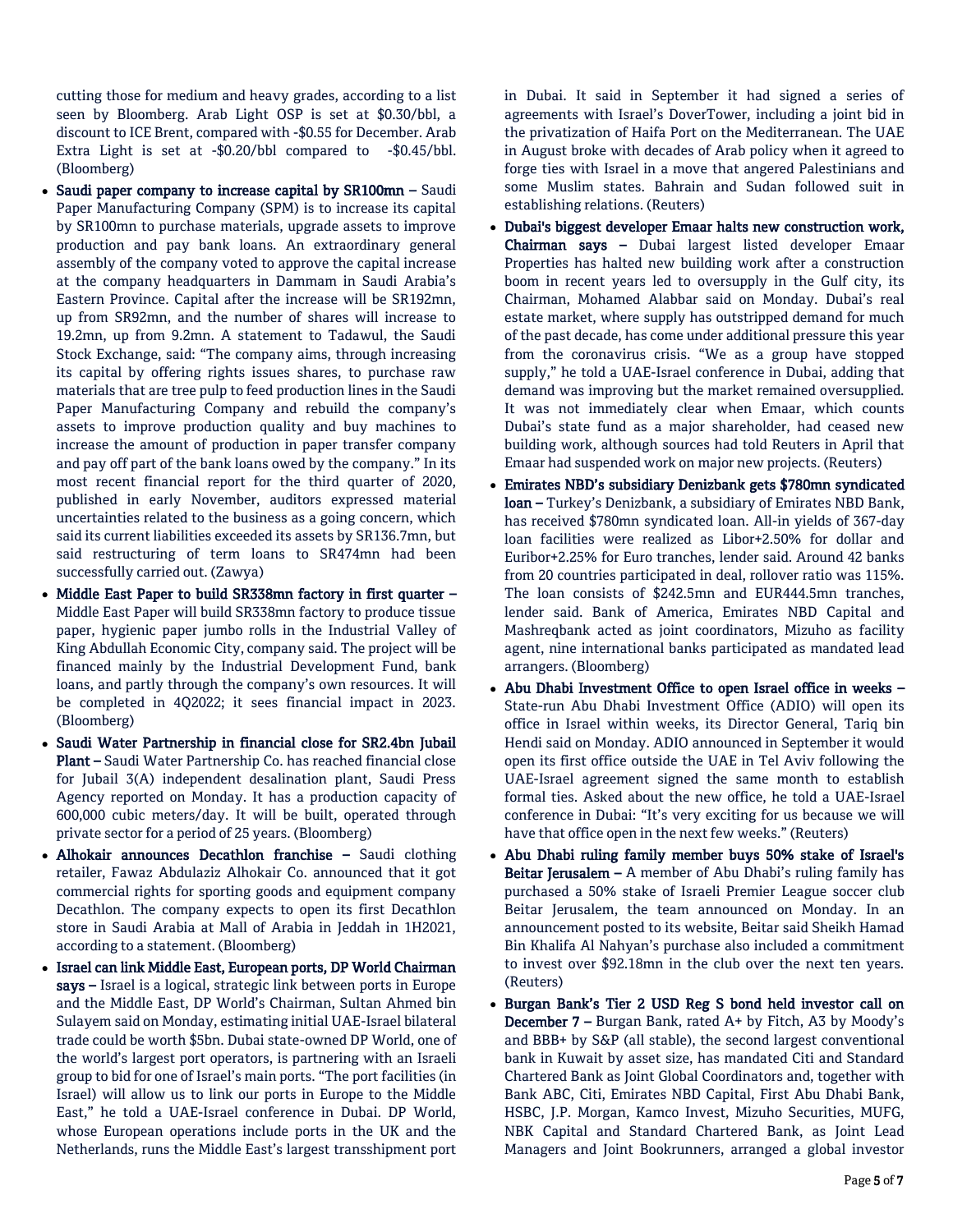cutting those for medium and heavy grades, according to a list seen by Bloomberg. Arab Light OSP is set at \$0.30/bbl, a discount to ICE Brent, compared with -\$0.55 for December. Arab Extra Light is set at -\$0.20/bbl compared to -\$0.45/bbl. (Bloomberg)

- Saudi paper company to increase capital by SR100mn Saudi Paper Manufacturing Company (SPM) is to increase its capital by SR100mn to purchase materials, upgrade assets to improve production and pay bank loans. An extraordinary general assembly of the company voted to approve the capital increase at the company headquarters in Dammam in Saudi Arabia's Eastern Province. Capital after the increase will be SR192mn, up from SR92mn, and the number of shares will increase to 19.2mn, up from 9.2mn. A statement to Tadawul, the Saudi Stock Exchange, said: "The company aims, through increasing its capital by offering rights issues shares, to purchase raw materials that are tree pulp to feed production lines in the Saudi Paper Manufacturing Company and rebuild the company's assets to improve production quality and buy machines to increase the amount of production in paper transfer company and pay off part of the bank loans owed by the company." In its most recent financial report for the third quarter of 2020, published in early November, auditors expressed material uncertainties related to the business as a going concern, which said its current liabilities exceeded its assets by SR136.7mn, but said restructuring of term loans to SR474mn had been successfully carried out. (Zawya)
- Middle East Paper to build SR338mn factory in first quarter -Middle East Paper will build SR338mn factory to produce tissue paper, hygienic paper jumbo rolls in the Industrial Valley of King Abdullah Economic City, company said. The project will be financed mainly by the Industrial Development Fund, bank loans, and partly through the company's own resources. It will be completed in 4Q2022; it sees financial impact in 2023. (Bloomberg)
- Saudi Water Partnership in financial close for SR2.4bn Jubail Plant – Saudi Water Partnership Co. has reached financial close for Jubail 3(A) independent desalination plant, Saudi Press Agency reported on Monday. It has a production capacity of 600,000 cubic meters/day. It will be built, operated through private sector for a period of 25 years. (Bloomberg)
- Alhokair announces Decathlon franchise Saudi clothing retailer, Fawaz Abdulaziz Alhokair Co. announced that it got commercial rights for sporting goods and equipment company Decathlon. The company expects to open its first Decathlon store in Saudi Arabia at Mall of Arabia in Jeddah in 1H2021, according to a statement. (Bloomberg)
- Israel can link Middle East, European ports, DP World Chairman says – Israel is a logical, strategic link between ports in Europe and the Middle East, DP World's Chairman, Sultan Ahmed bin Sulayem said on Monday, estimating initial UAE-Israel bilateral trade could be worth \$5bn. Dubai state-owned DP World, one of the world's largest port operators, is partnering with an Israeli group to bid for one of Israel's main ports. "The port facilities (in Israel) will allow us to link our ports in Europe to the Middle East," he told a UAE-Israel conference in Dubai. DP World, whose European operations include ports in the UK and the Netherlands, runs the Middle East's largest transshipment port

in Dubai. It said in September it had signed a series of agreements with Israel's DoverTower, including a joint bid in the privatization of Haifa Port on the Mediterranean. The UAE in August broke with decades of Arab policy when it agreed to forge ties with Israel in a move that angered Palestinians and some Muslim states. Bahrain and Sudan followed suit in establishing relations. (Reuters)

- Dubai's biggest developer Emaar halts new construction work, Chairman says – Dubai largest listed developer Emaar Properties has halted new building work after a construction boom in recent years led to oversupply in the Gulf city, its Chairman, Mohamed Alabbar said on Monday. Dubai's real estate market, where supply has outstripped demand for much of the past decade, has come under additional pressure this year from the coronavirus crisis. "We as a group have stopped supply," he told a UAE-Israel conference in Dubai, adding that demand was improving but the market remained oversupplied. It was not immediately clear when Emaar, which counts Dubai's state fund as a major shareholder, had ceased new building work, although sources had told Reuters in April that Emaar had suspended work on major new projects. (Reuters)
- Emirates NBD's subsidiary Denizbank gets \$780mn syndicated loan - Turkey's Denizbank, a subsidiary of Emirates NBD Bank, has received \$780mn syndicated loan. All-in yields of 367-day loan facilities were realized as Libor+2.50% for dollar and Euribor+2.25% for Euro tranches, lender said. Around 42 banks from 20 countries participated in deal, rollover ratio was 115%. The loan consists of \$242.5mn and EUR444.5mn tranches, lender said. Bank of America, Emirates NBD Capital and Mashreqbank acted as joint coordinators, Mizuho as facility agent, nine international banks participated as mandated lead arrangers. (Bloomberg)
- Abu Dhabi Investment Office to open Israel office in weeks State-run Abu Dhabi Investment Office (ADIO) will open its office in Israel within weeks, its Director General, Tariq bin Hendi said on Monday. ADIO announced in September it would open its first office outside the UAE in Tel Aviv following the UAE-Israel agreement signed the same month to establish formal ties. Asked about the new office, he told a UAE-Israel conference in Dubai: "It's very exciting for us because we will have that office open in the next few weeks." (Reuters)
- Abu Dhabi ruling family member buys 50% stake of Israel's Beitar Jerusalem – A member of Abu Dhabi's ruling family has purchased a 50% stake of Israeli Premier League soccer club Beitar Jerusalem, the team announced on Monday. In an announcement posted to its website, Beitar said Sheikh Hamad Bin Khalifa Al Nahyan's purchase also included a commitment to invest over \$92.18mn in the club over the next ten years. (Reuters)
- Burgan Bank's Tier 2 USD Reg S bond held investor call on December 7 – Burgan Bank, rated A+ by Fitch, A3 by Moody's and BBB+ by S&P (all stable), the second largest conventional bank in Kuwait by asset size, has mandated Citi and Standard Chartered Bank as Joint Global Coordinators and, together with Bank ABC, Citi, Emirates NBD Capital, First Abu Dhabi Bank, HSBC, J.P. Morgan, Kamco Invest, Mizuho Securities, MUFG, NBK Capital and Standard Chartered Bank, as Joint Lead Managers and Joint Bookrunners, arranged a global investor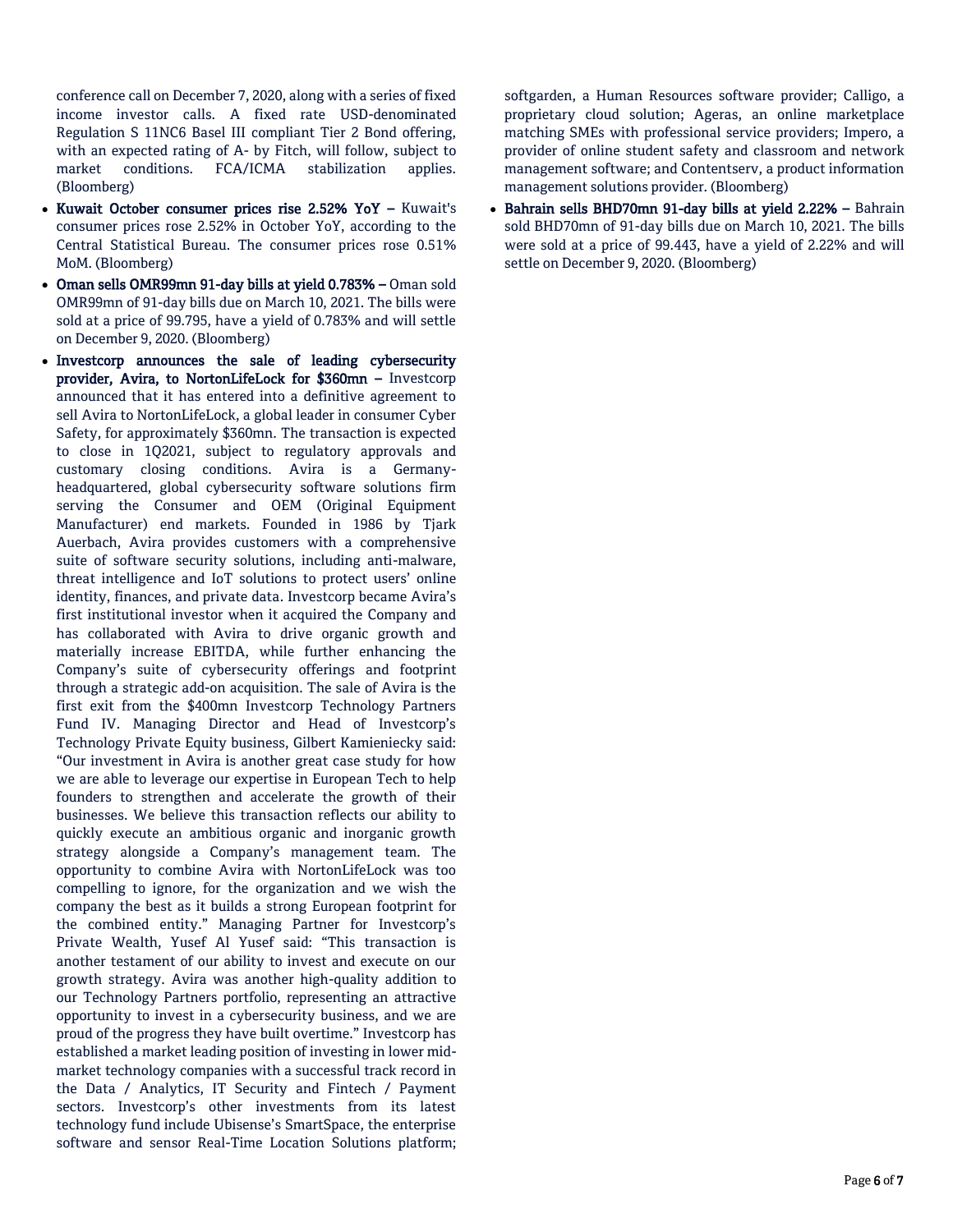conference call on December 7, 2020, along with a series of fixed income investor calls. A fixed rate USD-denominated Regulation S 11NC6 Basel III compliant Tier 2 Bond offering, with an expected rating of A- by Fitch, will follow, subject to market conditions. FCA/ICMA stabilization applies. (Bloomberg)

- Kuwait October consumer prices rise 2.52% YoY Kuwait's consumer prices rose 2.52% in October YoY, according to the Central Statistical Bureau. The consumer prices rose 0.51% MoM. (Bloomberg)
- Oman sells OMR99mn 91-day bills at yield 0.783% Oman sold OMR99mn of 91-day bills due on March 10, 2021. The bills were sold at a price of 99.795, have a yield of 0.783% and will settle on December 9, 2020. (Bloomberg)
- Investcorp announces the sale of leading cybersecurity provider, Avira, to NortonLifeLock for \$360mn – Investcorp announced that it has entered into a definitive agreement to sell Avira to NortonLifeLock, a global leader in consumer Cyber Safety, for approximately \$360mn. The transaction is expected to close in 1Q2021, subject to regulatory approvals and customary closing conditions. Avira is a Germanyheadquartered, global cybersecurity software solutions firm serving the Consumer and OEM (Original Equipment Manufacturer) end markets. Founded in 1986 by Tjark Auerbach, Avira provides customers with a comprehensive suite of software security solutions, including anti-malware, threat intelligence and IoT solutions to protect users' online identity, finances, and private data. Investcorp became Avira's first institutional investor when it acquired the Company and has collaborated with Avira to drive organic growth and materially increase EBITDA, while further enhancing the Company's suite of cybersecurity offerings and footprint through a strategic add-on acquisition. The sale of Avira is the first exit from the \$400mn Investcorp Technology Partners Fund IV. Managing Director and Head of Investcorp's Technology Private Equity business, Gilbert Kamieniecky said: "Our investment in Avira is another great case study for how we are able to leverage our expertise in European Tech to help founders to strengthen and accelerate the growth of their businesses. We believe this transaction reflects our ability to quickly execute an ambitious organic and inorganic growth strategy alongside a Company's management team. The opportunity to combine Avira with NortonLifeLock was too compelling to ignore, for the organization and we wish the company the best as it builds a strong European footprint for the combined entity." Managing Partner for Investcorp's Private Wealth, Yusef Al Yusef said: "This transaction is another testament of our ability to invest and execute on our growth strategy. Avira was another high-quality addition to our Technology Partners portfolio, representing an attractive opportunity to invest in a cybersecurity business, and we are proud of the progress they have built overtime." Investcorp has established a market leading position of investing in lower midmarket technology companies with a successful track record in the Data / Analytics, IT Security and Fintech / Payment sectors. Investcorp's other investments from its latest technology fund include Ubisense's SmartSpace, the enterprise software and sensor Real-Time Location Solutions platform;

softgarden, a Human Resources software provider; Calligo, a proprietary cloud solution; Ageras, an online marketplace matching SMEs with professional service providers; Impero, a provider of online student safety and classroom and network management software; and Contentserv, a product information management solutions provider. (Bloomberg)

 Bahrain sells BHD70mn 91-day bills at yield 2.22% – Bahrain sold BHD70mn of 91-day bills due on March 10, 2021. The bills were sold at a price of 99.443, have a yield of 2.22% and will settle on December 9, 2020. (Bloomberg)